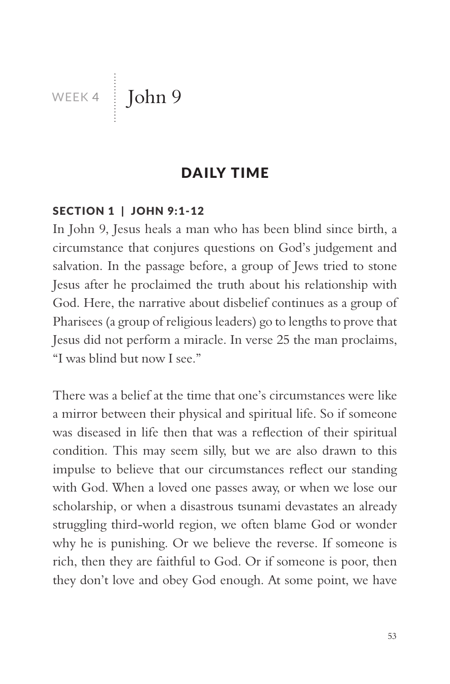WEEK 4 John 9

### DAILY TIME

### SECTION 1 | JOHN 9:1-12

In John 9, Jesus heals a man who has been blind since birth, a circumstance that conjures questions on God's judgement and salvation. In the passage before, a group of Jews tried to stone Jesus after he proclaimed the truth about his relationship with God. Here, the narrative about disbelief continues as a group of Pharisees (a group of religious leaders) go to lengths to prove that Jesus did not perform a miracle. In verse 25 the man proclaims, "I was blind but now I see."

There was a belief at the time that one's circumstances were like a mirror between their physical and spiritual life. So if someone was diseased in life then that was a reflection of their spiritual condition. This may seem silly, but we are also drawn to this impulse to believe that our circumstances reflect our standing with God. When a loved one passes away, or when we lose our scholarship, or when a disastrous tsunami devastates an already struggling third-world region, we often blame God or wonder why he is punishing. Or we believe the reverse. If someone is rich, then they are faithful to God. Or if someone is poor, then they don't love and obey God enough. At some point, we have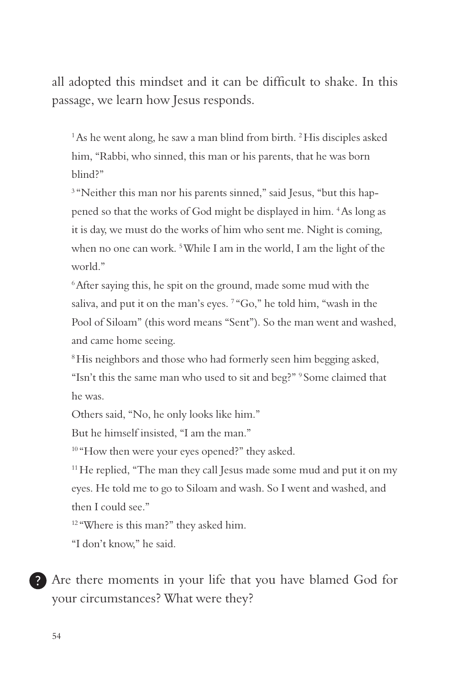all adopted this mindset and it can be difficult to shake. In this passage, we learn how Jesus responds.

 $1$ As he went along, he saw a man blind from birth.  $2$  His disciples asked him, "Rabbi, who sinned, this man or his parents, that he was born blind?"

<sup>3</sup> "Neither this man nor his parents sinned," said Jesus, "but this happened so that the works of God might be displayed in him. 4 As long as it is day, we must do the works of him who sent me. Night is coming, when no one can work.<sup>5</sup> While I am in the world, I am the light of the world."

6 After saying this, he spit on the ground, made some mud with the saliva, and put it on the man's eyes. <sup>7</sup> "Go," he told him, "wash in the Pool of Siloam" (this word means "Sent"). So the man went and washed, and came home seeing.

<sup>8</sup>His neighbors and those who had formerly seen him begging asked, "Isn't this the same man who used to sit and beg?" 9 Some claimed that he was.

Others said, "No, he only looks like him."

But he himself insisted, "I am the man."

<sup>10</sup> "How then were your eyes opened?" they asked.

<sup>11</sup> He replied, "The man they call Jesus made some mud and put it on my eyes. He told me to go to Siloam and wash. So I went and washed, and then I could see."

<sup>12</sup> "Where is this man?" they asked him.

"I don't know," he said.

Are there moments in your life that you have blamed God for your circumstances? What were they?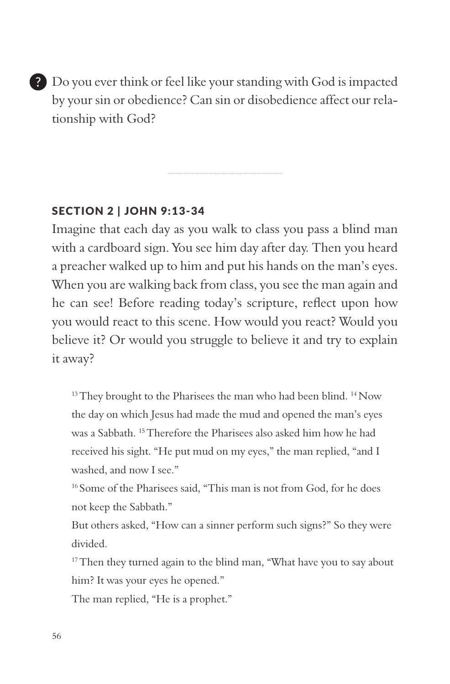Do you ever think or feel like your standing with God is impacted by your sin or obedience? Can sin or disobedience affect our relationship with God?

### SECTION 2 | JOHN 9:13-34

Imagine that each day as you walk to class you pass a blind man with a cardboard sign. You see him day after day. Then you heard a preacher walked up to him and put his hands on the man's eyes. When you are walking back from class, you see the man again and he can see! Before reading today's scripture, reflect upon how you would react to this scene. How would you react? Would you believe it? Or would you struggle to believe it and try to explain it away?

 $13$  They brought to the Pharisees the man who had been blind.  $14$  Now the day on which Jesus had made the mud and opened the man's eyes was a Sabbath. 15 Therefore the Pharisees also asked him how he had received his sight. "He put mud on my eyes," the man replied, "and I washed, and now I see."

<sup>16</sup> Some of the Pharisees said, "This man is not from God, for he does not keep the Sabbath."

But others asked, "How can a sinner perform such signs?" So they were divided.

<sup>17</sup> Then they turned again to the blind man, "What have you to say about him? It was your eyes he opened."

The man replied, "He is a prophet."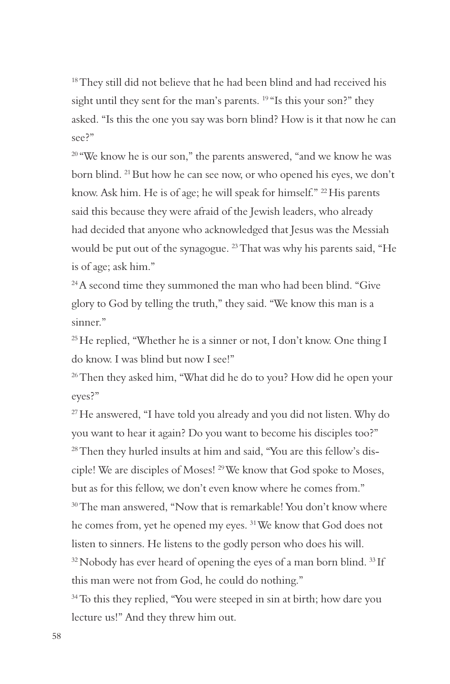<sup>18</sup> They still did not believe that he had been blind and had received his sight until they sent for the man's parents. <sup>19</sup> "Is this your son?" they asked. "Is this the one you say was born blind? How is it that now he can see?"

<sup>20</sup> "We know he is our son," the parents answered, "and we know he was born blind. 21 But how he can see now, or who opened his eyes, we don't know. Ask him. He is of age; he will speak for himself." 22 His parents said this because they were afraid of the Jewish leaders, who already had decided that anyone who acknowledged that Jesus was the Messiah would be put out of the synagogue. 23 That was why his parents said, "He is of age; ask him."

<sup>24</sup> A second time they summoned the man who had been blind. "Give glory to God by telling the truth," they said. "We know this man is a sinner."

<sup>25</sup> He replied, "Whether he is a sinner or not, I don't know. One thing I do know. I was blind but now I see!"

<sup>26</sup> Then they asked him, "What did he do to you? How did he open your eyes?"

<sup>27</sup> He answered, "I have told you already and you did not listen. Why do you want to hear it again? Do you want to become his disciples too?" 28 Then they hurled insults at him and said, "You are this fellow's disciple! We are disciples of Moses! 29 We know that God spoke to Moses, but as for this fellow, we don't even know where he comes from." <sup>30</sup> The man answered, "Now that is remarkable! You don't know where he comes from, yet he opened my eyes. 31 We know that God does not listen to sinners. He listens to the godly person who does his will.  $32$  Nobody has ever heard of opening the eyes of a man born blind.  $33$  If this man were not from God, he could do nothing."

<sup>34</sup> To this they replied, "You were steeped in sin at birth; how dare you lecture us!" And they threw him out.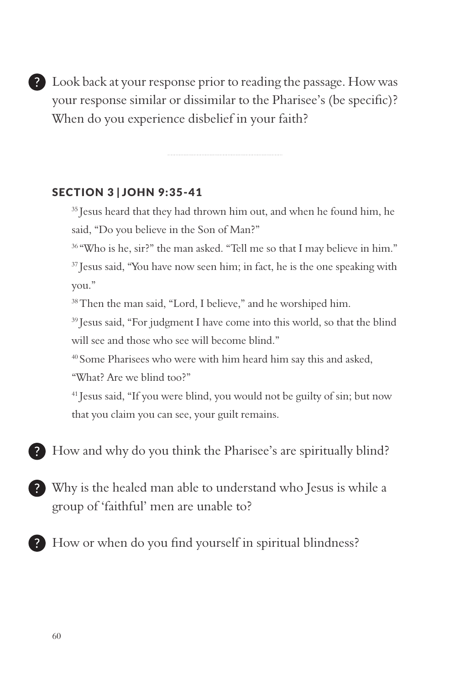Look back at your response prior to reading the passage. How was your response similar or dissimilar to the Pharisee's (be specific)? When do you experience disbelief in your faith?

#### SECTION 3 | JOHN 9:35-41

<sup>35</sup> Jesus heard that they had thrown him out, and when he found him, he said, "Do you believe in the Son of Man?"

<sup>36</sup> "Who is he, sir?" the man asked. "Tell me so that I may believe in him." <sup>37</sup> Jesus said, "You have now seen him; in fact, he is the one speaking with you."

<sup>38</sup> Then the man said, "Lord, I believe," and he worshiped him.

<sup>39</sup> Jesus said, "For judgment I have come into this world, so that the blind will see and those who see will become blind."

40 Some Pharisees who were with him heard him say this and asked,

"What? Are we blind too?"

41 Jesus said, "If you were blind, you would not be guilty of sin; but now that you claim you can see, your guilt remains.

Phow and why do you think the Pharisee's are spiritually blind?

- Why is the healed man able to understand who Jesus is while a group of 'faithful' men are unable to?
- How or when do you find yourself in spiritual blindness?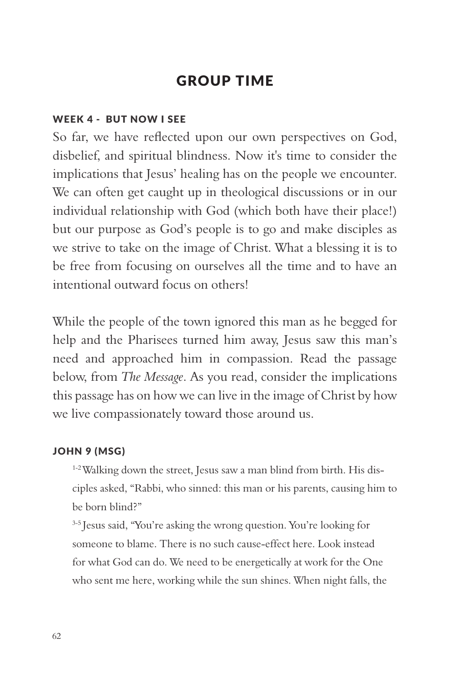# GROUP TIME

#### WEEK 4 - BUT NOW I SEE

So far, we have reflected upon our own perspectives on God, disbelief, and spiritual blindness. Now it's time to consider the implications that Jesus' healing has on the people we encounter. We can often get caught up in theological discussions or in our individual relationship with God (which both have their place!) but our purpose as God's people is to go and make disciples as we strive to take on the image of Christ. What a blessing it is to be free from focusing on ourselves all the time and to have an intentional outward focus on others!

While the people of the town ignored this man as he begged for help and the Pharisees turned him away, Jesus saw this man's need and approached him in compassion. Read the passage below, from *The Message*. As you read, consider the implications this passage has on how we can live in the image of Christ by how we live compassionately toward those around us.

#### JOHN 9 (MSG)

<sup>1-2</sup> Walking down the street, Jesus saw a man blind from birth. His disciples asked, "Rabbi, who sinned: this man or his parents, causing him to be born blind?"

3-5 Jesus said, "You're asking the wrong question. You're looking for someone to blame. There is no such cause-effect here. Look instead for what God can do. We need to be energetically at work for the One who sent me here, working while the sun shines. When night falls, the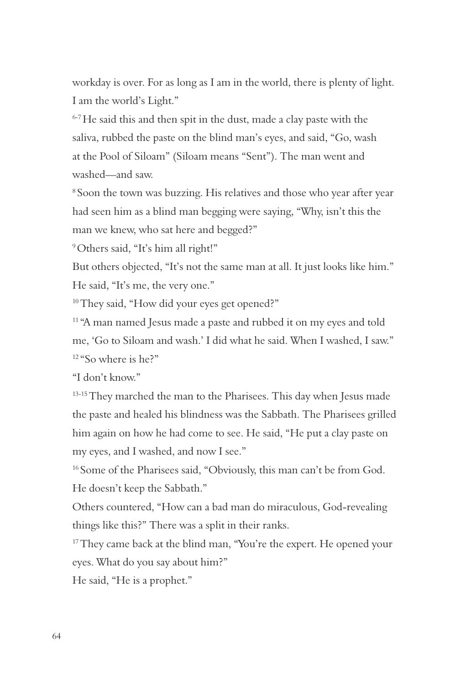workday is over. For as long as I am in the world, there is plenty of light. I am the world's Light."

6-7 He said this and then spit in the dust, made a clay paste with the saliva, rubbed the paste on the blind man's eyes, and said, "Go, wash at the Pool of Siloam" (Siloam means "Sent"). The man went and washed—and saw.

8 Soon the town was buzzing. His relatives and those who year after year had seen him as a blind man begging were saying, "Why, isn't this the man we knew, who sat here and begged?"

9 Others said, "It's him all right!"

But others objected, "It's not the same man at all. It just looks like him." He said, "It's me, the very one."

<sup>10</sup> They said, "How did your eyes get opened?"

<sup>11</sup> "A man named Jesus made a paste and rubbed it on my eyes and told me, 'Go to Siloam and wash.' I did what he said. When I washed, I saw."  $12 \text{ "So where is he?"}$ 

"I don't know."

<sup>13-15</sup> They marched the man to the Pharisees. This day when Jesus made the paste and healed his blindness was the Sabbath. The Pharisees grilled him again on how he had come to see. He said, "He put a clay paste on my eyes, and I washed, and now I see."

<sup>16</sup> Some of the Pharisees said, "Obviously, this man can't be from God. He doesn't keep the Sabbath."

Others countered, "How can a bad man do miraculous, God-revealing things like this?" There was a split in their ranks.

<sup>17</sup> They came back at the blind man, "You're the expert. He opened your eyes. What do you say about him?"

He said, "He is a prophet."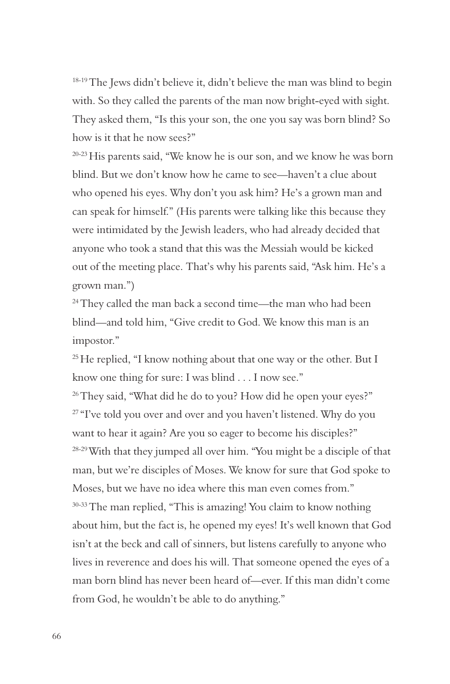<sup>18-19</sup> The Jews didn't believe it, didn't believe the man was blind to begin with. So they called the parents of the man now bright-eyed with sight. They asked them, "Is this your son, the one you say was born blind? So how is it that he now sees?"

<sup>20-23</sup> His parents said, "We know he is our son, and we know he was born blind. But we don't know how he came to see—haven't a clue about who opened his eyes. Why don't you ask him? He's a grown man and can speak for himself." (His parents were talking like this because they were intimidated by the Jewish leaders, who had already decided that anyone who took a stand that this was the Messiah would be kicked out of the meeting place. That's why his parents said, "Ask him. He's a grown man.")

<sup>24</sup> They called the man back a second time—the man who had been blind—and told him, "Give credit to God. We know this man is an impostor."

 $25$  He replied, "I know nothing about that one way or the other. But I know one thing for sure: I was blind . . . I now see."

<sup>26</sup> They said, "What did he do to you? How did he open your eyes?" <sup>27</sup> "I've told you over and over and you haven't listened. Why do you want to hear it again? Are you so eager to become his disciples?" <sup>28-29</sup> With that they jumped all over him. "You might be a disciple of that man, but we're disciples of Moses. We know for sure that God spoke to Moses, but we have no idea where this man even comes from." 30-33 The man replied, "This is amazing! You claim to know nothing about him, but the fact is, he opened my eyes! It's well known that God isn't at the beck and call of sinners, but listens carefully to anyone who lives in reverence and does his will. That someone opened the eyes of a man born blind has never been heard of—ever. If this man didn't come from God, he wouldn't be able to do anything."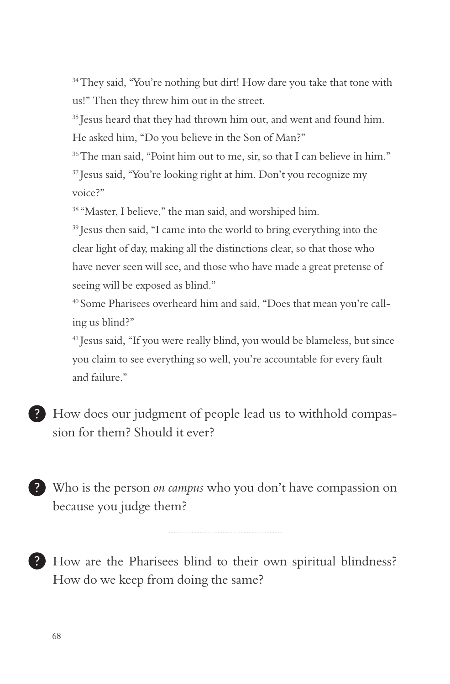<sup>34</sup> They said, "You're nothing but dirt! How dare you take that tone with us!" Then they threw him out in the street.

<sup>35</sup> Jesus heard that they had thrown him out, and went and found him. He asked him, "Do you believe in the Son of Man?"

<sup>36</sup> The man said, "Point him out to me, sir, so that I can believe in him." 37 Jesus said, "You're looking right at him. Don't you recognize my voice?"

<sup>38</sup> "Master, I believe," the man said, and worshiped him.

<sup>39</sup> Jesus then said, "I came into the world to bring everything into the clear light of day, making all the distinctions clear, so that those who have never seen will see, and those who have made a great pretense of seeing will be exposed as blind."

40 Some Pharisees overheard him and said, "Does that mean you're calling us blind?"

<sup>41</sup> Jesus said, "If you were really blind, you would be blameless, but since you claim to see everything so well, you're accountable for every fault and failure."

How does our judgment of people lead us to withhold compassion for them? Should it ever?

Who is the person *on campus* who you don't have compassion on because you judge them?

How are the Pharisees blind to their own spiritual blindness? How do we keep from doing the same?